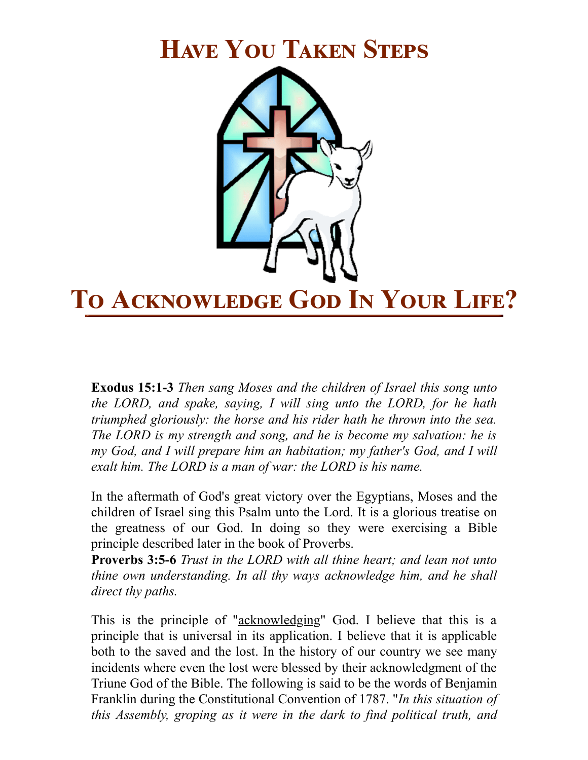## **HAVE YOU TAKEN STEPS**



**Exodus 15:1-3** *Then sang Moses and the children of Israel this song unto the LORD, and spake, saying, I will sing unto the LORD, for he hath triumphed gloriously: the horse and his rider hath he thrown into the sea. The LORD is my strength and song, and he is become my salvation: he is my God, and I will prepare him an habitation; my father's God, and I will exalt him. The LORD is a man of war: the LORD is his name.*

In the aftermath of God's great victory over the Egyptians, Moses and the children of Israel sing this Psalm unto the Lord. It is a glorious treatise on the greatness of our God. In doing so they were exercising a Bible principle described later in the book of Proverbs.

**Proverbs 3:5-6** *Trust in the LORD with all thine heart; and lean not unto thine own understanding. In all thy ways acknowledge him, and he shall direct thy paths.*

This is the principle of "acknowledging" God. I believe that this is a principle that is universal in its application. I believe that it is applicable both to the saved and the lost. In the history of our country we see many incidents where even the lost were blessed by their acknowledgment of the Triune God of the Bible. The following is said to be the words of Benjamin Franklin during the Constitutional Convention of 1787. "*In this situation of this Assembly, groping as it were in the dark to find political truth, and*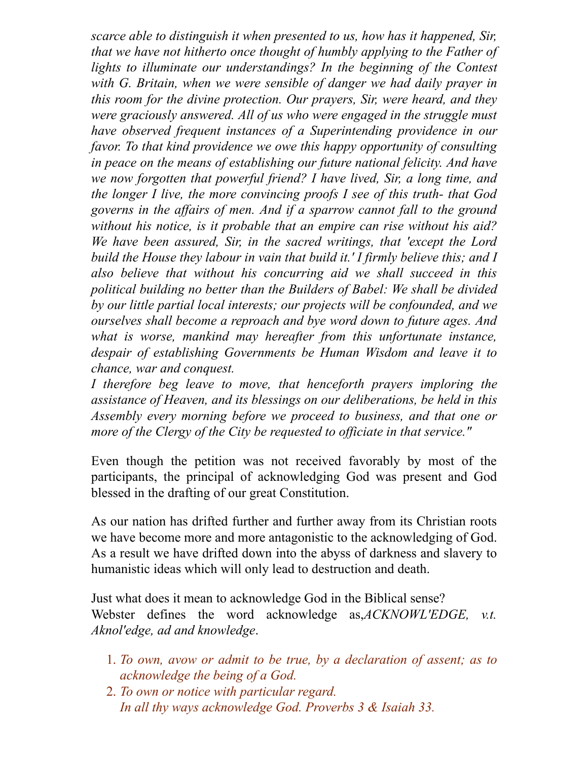*scarce able to distinguish it when presented to us, how has it happened, Sir, that we have not hitherto once thought of humbly applying to the Father of lights to illuminate our understandings? In the beginning of the Contest with G. Britain, when we were sensible of danger we had daily prayer in this room for the divine protection. Our prayers, Sir, were heard, and they were graciously answered. All of us who were engaged in the struggle must have observed frequent instances of a Superintending providence in our favor. To that kind providence we owe this happy opportunity of consulting in peace on the means of establishing our future national felicity. And have we now forgotten that powerful friend? I have lived, Sir, a long time, and the longer I live, the more convincing proofs I see of this truth- that God governs in the af airs of men. And if a sparrow cannot fall to the ground without his notice, is it probable that an empire can rise without his aid? We have been assured, Sir, in the sacred writings, that 'except the Lord build the House they labour in vain that build it.' I firmly believe this; and I also believe that without his concurring aid we shall succeed in this political building no better than the Builders of Babel: We shall be divided by our little partial local interests; our projects will be confounded, and we ourselves shall become a reproach and bye word down to future ages. And what is worse, mankind may hereafter from this unfortunate instance, despair of establishing Governments be Human Wisdom and leave it to chance, war and conquest.*

*I therefore beg leave to move, that henceforth prayers imploring the assistance of Heaven, and its blessings on our deliberations, be held in this Assembly every morning before we proceed to business, and that one or more of the Clergy of the City be requested to of iciate in that service."*

Even though the petition was not received favorably by most of the participants, the principal of acknowledging God was present and God blessed in the drafting of our great Constitution.

As our nation has drifted further and further away from its Christian roots we have become more and more antagonistic to the acknowledging of God. As a result we have drifted down into the abyss of darkness and slavery to humanistic ideas which will only lead to destruction and death.

Just what does it mean to acknowledge God in the Biblical sense? Webster defines the word acknowledge as,*ACKNOWL'EDGE, v.t. Aknol'edge, ad and knowledge*.

- 1. *To own, avow or admit to be true, by a declaration of assent; as to acknowledge the being of a God.*
- 2. *To own or notice with particular regard. In all thy ways acknowledge God. Proverbs 3 & Isaiah 33.*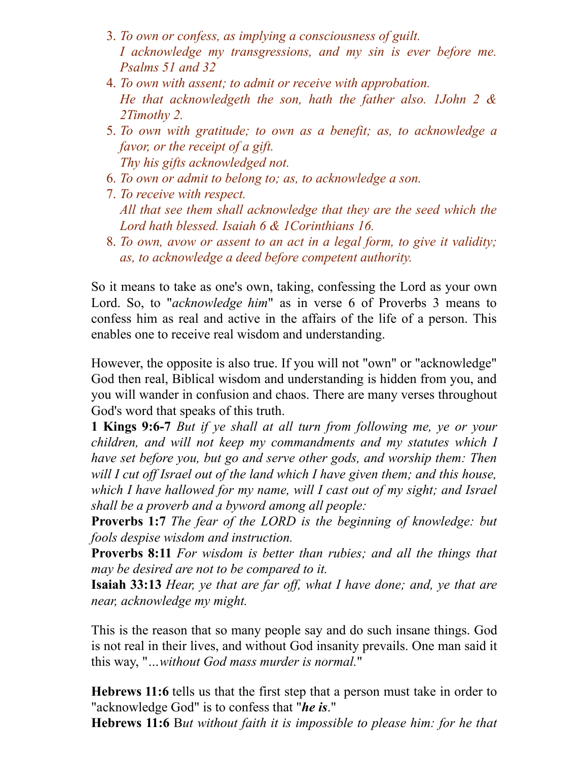- 3. *To own or confess, as implying a consciousness of guilt. I acknowledge my transgressions, and my sin is ever before me. Psalms 51 and 32*
- 4. *To own with assent; to admit or receive with approbation. He that acknowledgeth the son, hath the father also. 1John 2 & 2Timothy 2.*
- 5. *To own with gratitude; to own as a benefit; as, to acknowledge a favor, or the receipt of a gift. Thy his gifts acknowledged not.*
- 6. *To own or admit to belong to; as, to acknowledge a son.*
- 7. *To receive with respect. All that see them shall acknowledge that they are the seed which the Lord hath blessed. Isaiah 6 & 1Corinthians 16.*
- 8. *To own, avow or assent to an act in a legal form, to give it validity; as, to acknowledge a deed before competent authority.*

So it means to take as one's own, taking, confessing the Lord as your own Lord. So, to "*acknowledge him*" as in verse 6 of Proverbs 3 means to confess him as real and active in the affairs of the life of a person. This enables one to receive real wisdom and understanding.

However, the opposite is also true. If you will not "own" or "acknowledge" God then real, Biblical wisdom and understanding is hidden from you, and you will wander in confusion and chaos. There are many verses throughout God's word that speaks of this truth.

**1 Kings 9:6-7** *But if ye shall at all turn from following me, ye or your children, and will not keep my commandments and my statutes which I have set before you, but go and serve other gods, and worship them: Then will I cut of Israel out of the land which I have given them; and this house, which I have hallowed for my name, will I cast out of my sight; and Israel shall be a proverb and a byword among all people:*

**Proverbs 1:7** *The fear of the LORD is the beginning of knowledge: but fools despise wisdom and instruction.*

**Proverbs 8:11** *For wisdom is better than rubies; and all the things that may be desired are not to be compared to it.*

**Isaiah 33:13** *Hear, ye that are far of , what I have done; and, ye that are near, acknowledge my might.*

This is the reason that so many people say and do such insane things. God is not real in their lives, and without God insanity prevails. One man said it this way, "*…without God mass murder is normal.*"

**Hebrews 11:6** tells us that the first step that a person must take in order to "acknowledge God" is to confess that "*he is*."

**Hebrews 11:6** B*ut without faith it is impossible to please him: for he that*